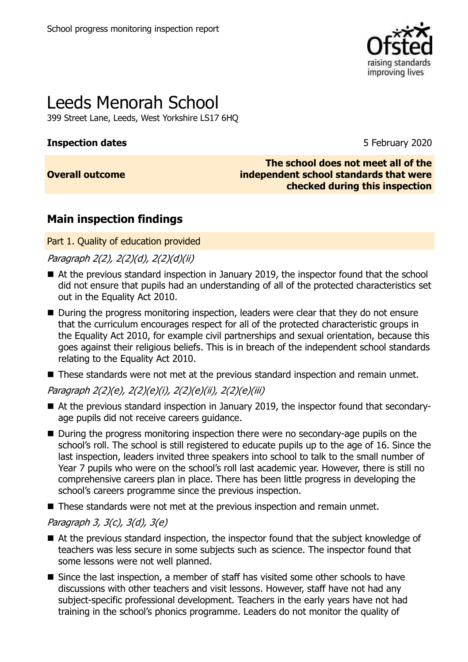

# Leeds Menorah School

399 Street Lane, Leeds, West Yorkshire LS17 6HQ

### **Inspection dates** 5 February 2020

### **Overall outcome**

**The school does not meet all of the independent school standards that were checked during this inspection**

### **Main inspection findings**

Part 1. Quality of education provided

Paragraph 2(2), 2(2)(d), 2(2)(d)(ii)

- At the previous standard inspection in January 2019, the inspector found that the school did not ensure that pupils had an understanding of all of the protected characteristics set out in the Equality Act 2010.
- During the progress monitoring inspection, leaders were clear that they do not ensure that the curriculum encourages respect for all of the protected characteristic groups in the Equality Act 2010, for example civil partnerships and sexual orientation, because this goes against their religious beliefs. This is in breach of the independent school standards relating to the Equality Act 2010.
- These standards were not met at the previous standard inspection and remain unmet.

Paragraph 2(2)(e), 2(2)(e)(i), 2(2)(e)(ii), 2(2)(e)(iii)

- At the previous standard inspection in January 2019, the inspector found that secondaryage pupils did not receive careers guidance.
- During the progress monitoring inspection there were no secondary-age pupils on the school's roll. The school is still registered to educate pupils up to the age of 16. Since the last inspection, leaders invited three speakers into school to talk to the small number of Year 7 pupils who were on the school's roll last academic year. However, there is still no comprehensive careers plan in place. There has been little progress in developing the school's careers programme since the previous inspection.
- These standards were not met at the previous inspection and remain unmet.

### Paragraph 3, 3(c), 3(d), 3(e)

- At the previous standard inspection, the inspector found that the subject knowledge of teachers was less secure in some subjects such as science. The inspector found that some lessons were not well planned.
- Since the last inspection, a member of staff has visited some other schools to have discussions with other teachers and visit lessons. However, staff have not had any subject-specific professional development. Teachers in the early years have not had training in the school's phonics programme. Leaders do not monitor the quality of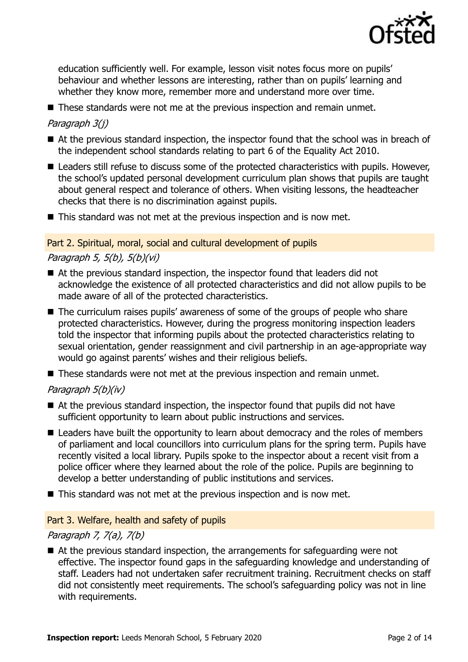

education sufficiently well. For example, lesson visit notes focus more on pupils' behaviour and whether lessons are interesting, rather than on pupils' learning and whether they know more, remember more and understand more over time.

■ These standards were not me at the previous inspection and remain unmet.

### Paragraph 3(j)

- At the previous standard inspection, the inspector found that the school was in breach of the independent school standards relating to part 6 of the Equality Act 2010.
- Leaders still refuse to discuss some of the protected characteristics with pupils. However, the school's updated personal development curriculum plan shows that pupils are taught about general respect and tolerance of others. When visiting lessons, the headteacher checks that there is no discrimination against pupils.
- This standard was not met at the previous inspection and is now met.

#### Part 2. Spiritual, moral, social and cultural development of pupils

### Paragraph 5, 5(b), 5(b)(vi)

- At the previous standard inspection, the inspector found that leaders did not acknowledge the existence of all protected characteristics and did not allow pupils to be made aware of all of the protected characteristics.
- The curriculum raises pupils' awareness of some of the groups of people who share protected characteristics. However, during the progress monitoring inspection leaders told the inspector that informing pupils about the protected characteristics relating to sexual orientation, gender reassignment and civil partnership in an age-appropriate way would go against parents' wishes and their religious beliefs.
- These standards were not met at the previous inspection and remain unmet.

### Paragraph 5(b)(iv)

- At the previous standard inspection, the inspector found that pupils did not have sufficient opportunity to learn about public instructions and services.
- Leaders have built the opportunity to learn about democracy and the roles of members of parliament and local councillors into curriculum plans for the spring term. Pupils have recently visited a local library. Pupils spoke to the inspector about a recent visit from a police officer where they learned about the role of the police. Pupils are beginning to develop a better understanding of public institutions and services.
- This standard was not met at the previous inspection and is now met.

#### Part 3. Welfare, health and safety of pupils

#### Paragraph 7, 7(a), 7(b)

■ At the previous standard inspection, the arrangements for safeguarding were not effective. The inspector found gaps in the safeguarding knowledge and understanding of staff. Leaders had not undertaken safer recruitment training. Recruitment checks on staff did not consistently meet requirements. The school's safeguarding policy was not in line with requirements.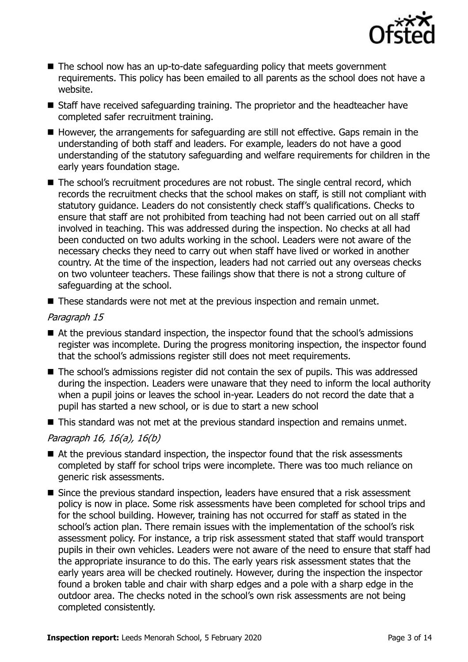

- The school now has an up-to-date safeguarding policy that meets government requirements. This policy has been emailed to all parents as the school does not have a website.
- Staff have received safeguarding training. The proprietor and the headteacher have completed safer recruitment training.
- However, the arrangements for safeguarding are still not effective. Gaps remain in the understanding of both staff and leaders. For example, leaders do not have a good understanding of the statutory safeguarding and welfare requirements for children in the early years foundation stage.
- The school's recruitment procedures are not robust. The single central record, which records the recruitment checks that the school makes on staff, is still not compliant with statutory guidance. Leaders do not consistently check staff's qualifications. Checks to ensure that staff are not prohibited from teaching had not been carried out on all staff involved in teaching. This was addressed during the inspection. No checks at all had been conducted on two adults working in the school. Leaders were not aware of the necessary checks they need to carry out when staff have lived or worked in another country. At the time of the inspection, leaders had not carried out any overseas checks on two volunteer teachers. These failings show that there is not a strong culture of safeguarding at the school.
- These standards were not met at the previous inspection and remain unmet.

### Paragraph 15

- At the previous standard inspection, the inspector found that the school's admissions register was incomplete. During the progress monitoring inspection, the inspector found that the school's admissions register still does not meet requirements.
- The school's admissions register did not contain the sex of pupils. This was addressed during the inspection. Leaders were unaware that they need to inform the local authority when a pupil joins or leaves the school in-year. Leaders do not record the date that a pupil has started a new school, or is due to start a new school
- This standard was not met at the previous standard inspection and remains unmet.

### Paragraph 16, 16(a), 16(b)

- At the previous standard inspection, the inspector found that the risk assessments completed by staff for school trips were incomplete. There was too much reliance on generic risk assessments.
- Since the previous standard inspection, leaders have ensured that a risk assessment policy is now in place. Some risk assessments have been completed for school trips and for the school building. However, training has not occurred for staff as stated in the school's action plan. There remain issues with the implementation of the school's risk assessment policy. For instance, a trip risk assessment stated that staff would transport pupils in their own vehicles. Leaders were not aware of the need to ensure that staff had the appropriate insurance to do this. The early years risk assessment states that the early years area will be checked routinely. However, during the inspection the inspector found a broken table and chair with sharp edges and a pole with a sharp edge in the outdoor area. The checks noted in the school's own risk assessments are not being completed consistently.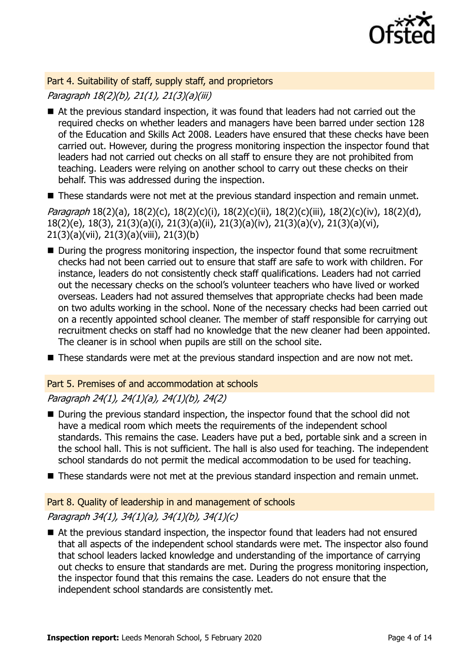

Part 4. Suitability of staff, supply staff, and proprietors Paragraph 18(2)(b), 21(1), 21(3)(a)(iii)

- At the previous standard inspection, it was found that leaders had not carried out the required checks on whether leaders and managers have been barred under section 128 of the Education and Skills Act 2008. Leaders have ensured that these checks have been carried out. However, during the progress monitoring inspection the inspector found that leaders had not carried out checks on all staff to ensure they are not prohibited from teaching. Leaders were relying on another school to carry out these checks on their behalf. This was addressed during the inspection.
- These standards were not met at the previous standard inspection and remain unmet.

Paragraph 18(2)(a), 18(2)(c), 18(2)(c)(i), 18(2)(c)(ii), 18(2)(c)(iii), 18(2)(c)(iv), 18(2)(d), 18(2)(e), 18(3), 21(3)(a)(i), 21(3)(a)(ii), 21(3)(a)(iv), 21(3)(a)(v), 21(3)(a)(vi), 21(3)(a)(vii), 21(3)(a)(viii), 21(3)(b)

- During the progress monitoring inspection, the inspector found that some recruitment checks had not been carried out to ensure that staff are safe to work with children. For instance, leaders do not consistently check staff qualifications. Leaders had not carried out the necessary checks on the school's volunteer teachers who have lived or worked overseas. Leaders had not assured themselves that appropriate checks had been made on two adults working in the school. None of the necessary checks had been carried out on a recently appointed school cleaner. The member of staff responsible for carrying out recruitment checks on staff had no knowledge that the new cleaner had been appointed. The cleaner is in school when pupils are still on the school site.
- These standards were met at the previous standard inspection and are now not met.

### Part 5. Premises of and accommodation at schools

### Paragraph 24(1), 24(1)(a), 24(1)(b), 24(2)

- During the previous standard inspection, the inspector found that the school did not have a medical room which meets the requirements of the independent school standards. This remains the case. Leaders have put a bed, portable sink and a screen in the school hall. This is not sufficient. The hall is also used for teaching. The independent school standards do not permit the medical accommodation to be used for teaching.
- These standards were not met at the previous standard inspection and remain unmet.

### Part 8. Quality of leadership in and management of schools

### Paragraph 34(1), 34(1)(a), 34(1)(b), 34(1)(c)

■ At the previous standard inspection, the inspector found that leaders had not ensured that all aspects of the independent school standards were met. The inspector also found that school leaders lacked knowledge and understanding of the importance of carrying out checks to ensure that standards are met. During the progress monitoring inspection, the inspector found that this remains the case. Leaders do not ensure that the independent school standards are consistently met.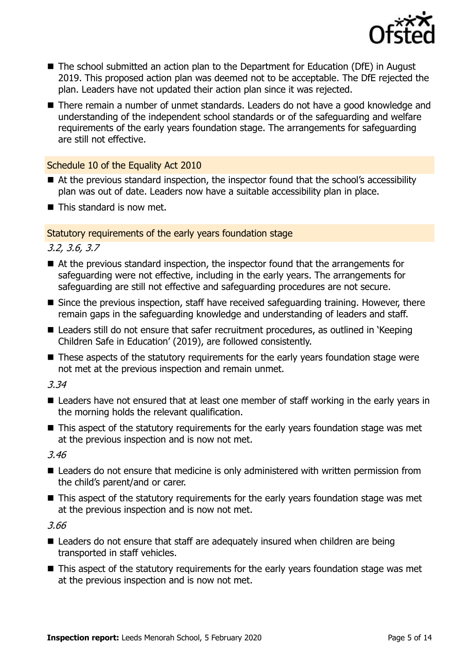

- The school submitted an action plan to the Department for Education (DfE) in August 2019. This proposed action plan was deemed not to be acceptable. The DfE rejected the plan. Leaders have not updated their action plan since it was rejected.
- There remain a number of unmet standards. Leaders do not have a good knowledge and understanding of the independent school standards or of the safeguarding and welfare requirements of the early years foundation stage. The arrangements for safeguarding are still not effective.

### Schedule 10 of the Equality Act 2010

- At the previous standard inspection, the inspector found that the school's accessibility plan was out of date. Leaders now have a suitable accessibility plan in place.
- This standard is now met.

### Statutory requirements of the early years foundation stage

3.2, 3.6, 3.7

- At the previous standard inspection, the inspector found that the arrangements for safeguarding were not effective, including in the early years. The arrangements for safeguarding are still not effective and safeguarding procedures are not secure.
- Since the previous inspection, staff have received safeguarding training. However, there remain gaps in the safeguarding knowledge and understanding of leaders and staff.
- Leaders still do not ensure that safer recruitment procedures, as outlined in 'Keeping Children Safe in Education' (2019), are followed consistently.
- These aspects of the statutory requirements for the early years foundation stage were not met at the previous inspection and remain unmet.

3.34

- Leaders have not ensured that at least one member of staff working in the early years in the morning holds the relevant qualification.
- This aspect of the statutory requirements for the early years foundation stage was met at the previous inspection and is now not met.

3.46

- Leaders do not ensure that medicine is only administered with written permission from the child's parent/and or carer.
- This aspect of the statutory requirements for the early years foundation stage was met at the previous inspection and is now not met.

3.66

- Leaders do not ensure that staff are adequately insured when children are being transported in staff vehicles.
- This aspect of the statutory requirements for the early years foundation stage was met at the previous inspection and is now not met.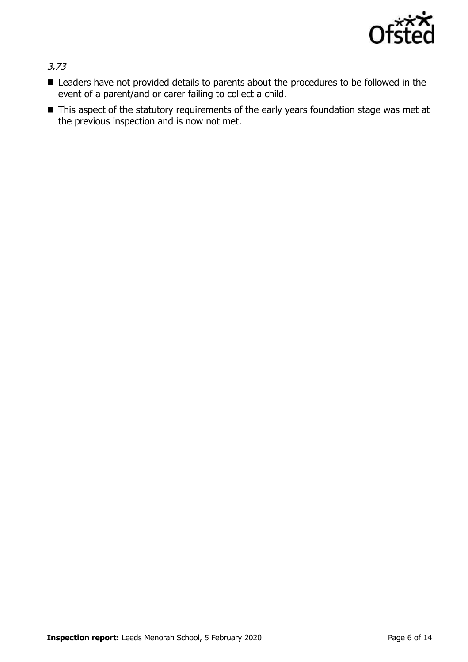

3.73

- Leaders have not provided details to parents about the procedures to be followed in the event of a parent/and or carer failing to collect a child.
- This aspect of the statutory requirements of the early years foundation stage was met at the previous inspection and is now not met.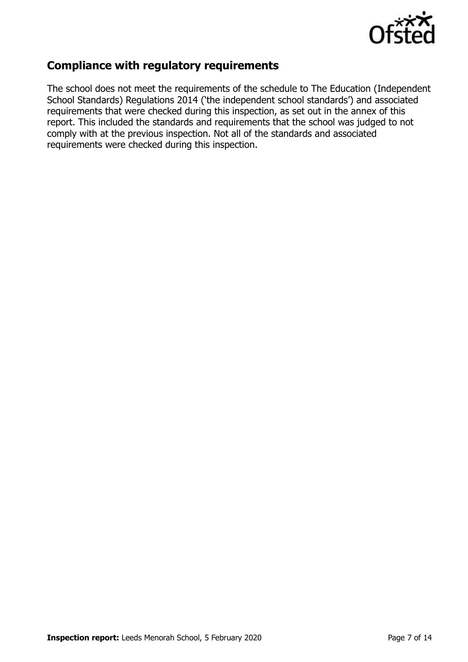

### **Compliance with regulatory requirements**

The school does not meet the requirements of the schedule to The Education (Independent School Standards) Regulations 2014 ('the independent school standards') and associated requirements that were checked during this inspection, as set out in the annex of this report. This included the standards and requirements that the school was judged to not comply with at the previous inspection. Not all of the standards and associated requirements were checked during this inspection.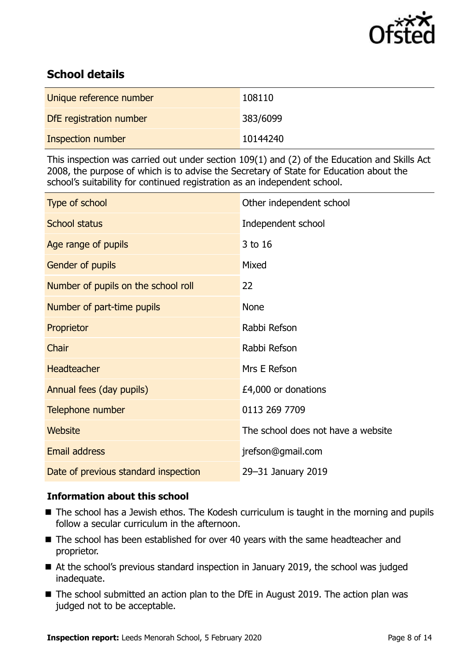

### **School details**

| Unique reference number | 108110   |
|-------------------------|----------|
| DfE registration number | 383/6099 |
| Inspection number       | 10144240 |

This inspection was carried out under section 109(1) and (2) of the Education and Skills Act 2008, the purpose of which is to advise the Secretary of State for Education about the school's suitability for continued registration as an independent school.

| Type of school                       | Other independent school           |
|--------------------------------------|------------------------------------|
| <b>School status</b>                 | Independent school                 |
| Age range of pupils                  | 3 to 16                            |
| Gender of pupils                     | Mixed                              |
| Number of pupils on the school roll  | 22                                 |
| Number of part-time pupils           | <b>None</b>                        |
| Proprietor                           | Rabbi Refson                       |
| Chair                                | Rabbi Refson                       |
| Headteacher                          | Mrs E Refson                       |
| Annual fees (day pupils)             | £4,000 or donations                |
| Telephone number                     | 0113 269 7709                      |
| <b>Website</b>                       | The school does not have a website |
| <b>Email address</b>                 | jrefson@gmail.com                  |
| Date of previous standard inspection | 29-31 January 2019                 |

### **Information about this school**

- The school has a Jewish ethos. The Kodesh curriculum is taught in the morning and pupils follow a secular curriculum in the afternoon.
- The school has been established for over 40 years with the same headteacher and proprietor.
- At the school's previous standard inspection in January 2019, the school was judged inadequate.
- The school submitted an action plan to the DfE in August 2019. The action plan was judged not to be acceptable.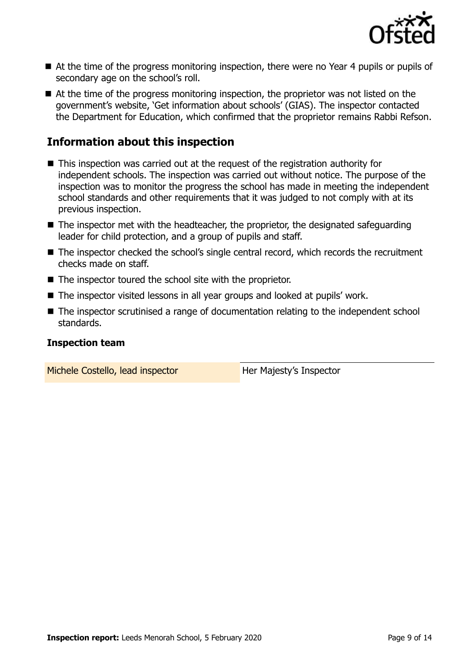

- At the time of the progress monitoring inspection, there were no Year 4 pupils or pupils of secondary age on the school's roll.
- At the time of the progress monitoring inspection, the proprietor was not listed on the government's website, 'Get information about schools' (GIAS). The inspector contacted the Department for Education, which confirmed that the proprietor remains Rabbi Refson.

### **Information about this inspection**

- This inspection was carried out at the request of the registration authority for independent schools. The inspection was carried out without notice. The purpose of the inspection was to monitor the progress the school has made in meeting the independent school standards and other requirements that it was judged to not comply with at its previous inspection.
- $\blacksquare$  The inspector met with the headteacher, the proprietor, the designated safeguarding leader for child protection, and a group of pupils and staff.
- The inspector checked the school's single central record, which records the recruitment checks made on staff.
- The inspector toured the school site with the proprietor.
- The inspector visited lessons in all year groups and looked at pupils' work.
- The inspector scrutinised a range of documentation relating to the independent school standards.

#### **Inspection team**

Michele Costello, lead inspector **Her Majesty's Inspector**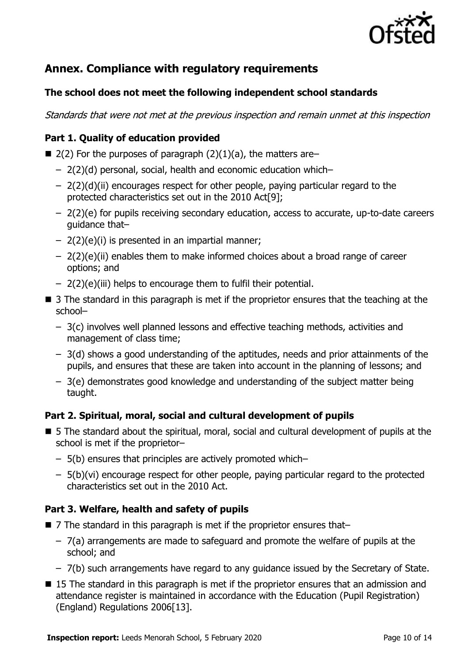

## **Annex. Compliance with regulatory requirements**

### **The school does not meet the following independent school standards**

Standards that were not met at the previous inspection and remain unmet at this inspection

### **Part 1. Quality of education provided**

- $\blacksquare$  2(2) For the purposes of paragraph (2)(1)(a), the matters are–
	- 2(2)(d) personal, social, health and economic education which–
	- $-$  2(2)(d)(ii) encourages respect for other people, paying particular regard to the protected characteristics set out in the 2010 Act[9];
	- 2(2)(e) for pupils receiving secondary education, access to accurate, up-to-date careers guidance that–
	- 2(2)(e)(i) is presented in an impartial manner;
	- 2(2)(e)(ii) enables them to make informed choices about a broad range of career options; and
	- 2(2)(e)(iii) helps to encourage them to fulfil their potential.
- 3 The standard in this paragraph is met if the proprietor ensures that the teaching at the school–
	- 3(c) involves well planned lessons and effective teaching methods, activities and management of class time;
	- 3(d) shows a good understanding of the aptitudes, needs and prior attainments of the pupils, and ensures that these are taken into account in the planning of lessons; and
	- 3(e) demonstrates good knowledge and understanding of the subject matter being taught.

### **Part 2. Spiritual, moral, social and cultural development of pupils**

- 5 The standard about the spiritual, moral, social and cultural development of pupils at the school is met if the proprietor–
	- 5(b) ensures that principles are actively promoted which–
	- 5(b)(vi) encourage respect for other people, paying particular regard to the protected characteristics set out in the 2010 Act.

### **Part 3. Welfare, health and safety of pupils**

- 7 The standard in this paragraph is met if the proprietor ensures that–
	- 7(a) arrangements are made to safeguard and promote the welfare of pupils at the school; and
	- 7(b) such arrangements have regard to any guidance issued by the Secretary of State.
- 15 The standard in this paragraph is met if the proprietor ensures that an admission and attendance register is maintained in accordance with the Education (Pupil Registration) (England) Regulations 2006[13].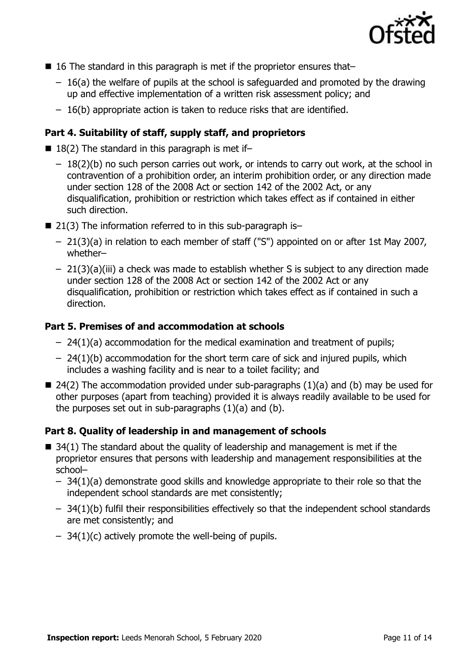

- $\blacksquare$  16 The standard in this paragraph is met if the proprietor ensures that-
	- $-16(a)$  the welfare of pupils at the school is safeguarded and promoted by the drawing up and effective implementation of a written risk assessment policy; and
	- 16(b) appropriate action is taken to reduce risks that are identified.

### **Part 4. Suitability of staff, supply staff, and proprietors**

- $\blacksquare$  18(2) The standard in this paragraph is met if-
	- 18(2)(b) no such person carries out work, or intends to carry out work, at the school in contravention of a prohibition order, an interim prohibition order, or any direction made under section 128 of the 2008 Act or section 142 of the 2002 Act, or any disqualification, prohibition or restriction which takes effect as if contained in either such direction.
- $\blacksquare$  21(3) The information referred to in this sub-paragraph is-
	- 21(3)(a) in relation to each member of staff ("S") appointed on or after 1st May 2007, whether–
	- 21(3)(a)(iii) a check was made to establish whether S is subject to any direction made under section 128 of the 2008 Act or section 142 of the 2002 Act or any disqualification, prohibition or restriction which takes effect as if contained in such a direction.

#### **Part 5. Premises of and accommodation at schools**

- 24(1)(a) accommodation for the medical examination and treatment of pupils;
- $-$  24(1)(b) accommodation for the short term care of sick and injured pupils, which includes a washing facility and is near to a toilet facility; and
- $\blacksquare$  24(2) The accommodation provided under sub-paragraphs (1)(a) and (b) may be used for other purposes (apart from teaching) provided it is always readily available to be used for the purposes set out in sub-paragraphs  $(1)(a)$  and  $(b)$ .

#### **Part 8. Quality of leadership in and management of schools**

- $\blacksquare$  34(1) The standard about the quality of leadership and management is met if the proprietor ensures that persons with leadership and management responsibilities at the school–
	- 34(1)(a) demonstrate good skills and knowledge appropriate to their role so that the independent school standards are met consistently;
	- 34(1)(b) fulfil their responsibilities effectively so that the independent school standards are met consistently; and
	- $-$  34(1)(c) actively promote the well-being of pupils.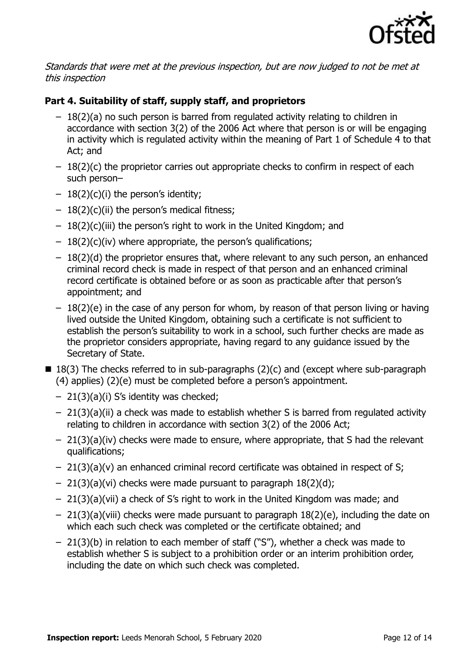

Standards that were met at the previous inspection, but are now judged to not be met at this inspection

### **Part 4. Suitability of staff, supply staff, and proprietors**

- 18(2)(a) no such person is barred from regulated activity relating to children in accordance with section 3(2) of the 2006 Act where that person is or will be engaging in activity which is regulated activity within the meaning of Part 1 of Schedule 4 to that Act; and
- $-18(2)(c)$  the proprietor carries out appropriate checks to confirm in respect of each such person–
- $-18(2)(c)(i)$  the person's identity;
- $-18(2)(c)(ii)$  the person's medical fitness;
- $-18(2)(c)(iii)$  the person's right to work in the United Kingdom; and
- $-18(2)(c)(iv)$  where appropriate, the person's qualifications;
- 18(2)(d) the proprietor ensures that, where relevant to any such person, an enhanced criminal record check is made in respect of that person and an enhanced criminal record certificate is obtained before or as soon as practicable after that person's appointment; and
- 18(2)(e) in the case of any person for whom, by reason of that person living or having lived outside the United Kingdom, obtaining such a certificate is not sufficient to establish the person's suitability to work in a school, such further checks are made as the proprietor considers appropriate, having regard to any guidance issued by the Secretary of State.
- $\blacksquare$  18(3) The checks referred to in sub-paragraphs (2)(c) and (except where sub-paragraph (4) applies) (2)(e) must be completed before a person's appointment.
	- 21(3)(a)(i) S's identity was checked;
	- 21(3)(a)(ii) a check was made to establish whether S is barred from regulated activity relating to children in accordance with section 3(2) of the 2006 Act;
	- $-21(3)(a)(iv)$  checks were made to ensure, where appropriate, that S had the relevant qualifications;
	- 21(3)(a)(v) an enhanced criminal record certificate was obtained in respect of S;
	- $-21(3)(a)(vi)$  checks were made pursuant to paragraph  $18(2)(d)$ ;
	- 21(3)(a)(vii) a check of S's right to work in the United Kingdom was made; and
	- $-21(3)(a)(viii)$  checks were made pursuant to paragraph  $18(2)(e)$ , including the date on which each such check was completed or the certificate obtained; and
	- 21(3)(b) in relation to each member of staff ("S"), whether a check was made to establish whether S is subject to a prohibition order or an interim prohibition order, including the date on which such check was completed.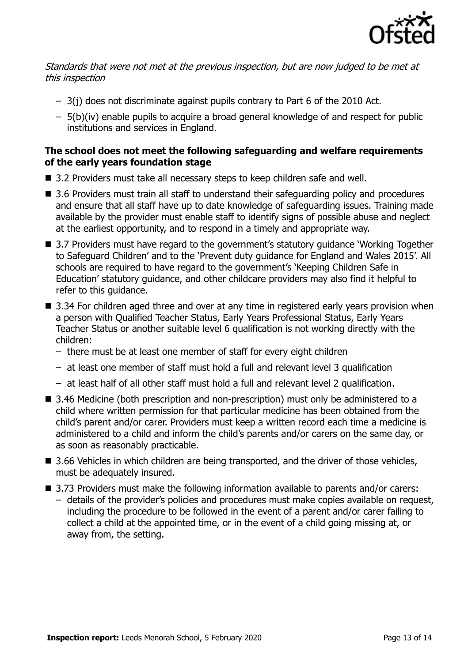

### Standards that were not met at the previous inspection, but are now judged to be met at this inspection

- 3(j) does not discriminate against pupils contrary to Part 6 of the 2010 Act.
- 5(b)(iv) enable pupils to acquire a broad general knowledge of and respect for public institutions and services in England.

### **The school does not meet the following safeguarding and welfare requirements of the early years foundation stage**

- 3.2 Providers must take all necessary steps to keep children safe and well.
- 3.6 Providers must train all staff to understand their safeguarding policy and procedures and ensure that all staff have up to date knowledge of safeguarding issues. Training made available by the provider must enable staff to identify signs of possible abuse and neglect at the earliest opportunity, and to respond in a timely and appropriate way.
- 3.7 Providers must have regard to the government's statutory guidance 'Working Together to Safeguard Children' and to the 'Prevent duty guidance for England and Wales 2015'. All schools are required to have regard to the government's 'Keeping Children Safe in Education' statutory guidance, and other childcare providers may also find it helpful to refer to this guidance.
- 3.34 For children aged three and over at any time in registered early years provision when a person with Qualified Teacher Status, Early Years Professional Status, Early Years Teacher Status or another suitable level 6 qualification is not working directly with the children:
	- there must be at least one member of staff for every eight children
	- at least one member of staff must hold a full and relevant level 3 qualification
	- at least half of all other staff must hold a full and relevant level 2 qualification.
- 3.46 Medicine (both prescription and non-prescription) must only be administered to a child where written permission for that particular medicine has been obtained from the child's parent and/or carer. Providers must keep a written record each time a medicine is administered to a child and inform the child's parents and/or carers on the same day, or as soon as reasonably practicable.
- 3.66 Vehicles in which children are being transported, and the driver of those vehicles, must be adequately insured.
- 3.73 Providers must make the following information available to parents and/or carers: – details of the provider's policies and procedures must make copies available on request, including the procedure to be followed in the event of a parent and/or carer failing to collect a child at the appointed time, or in the event of a child going missing at, or away from, the setting.